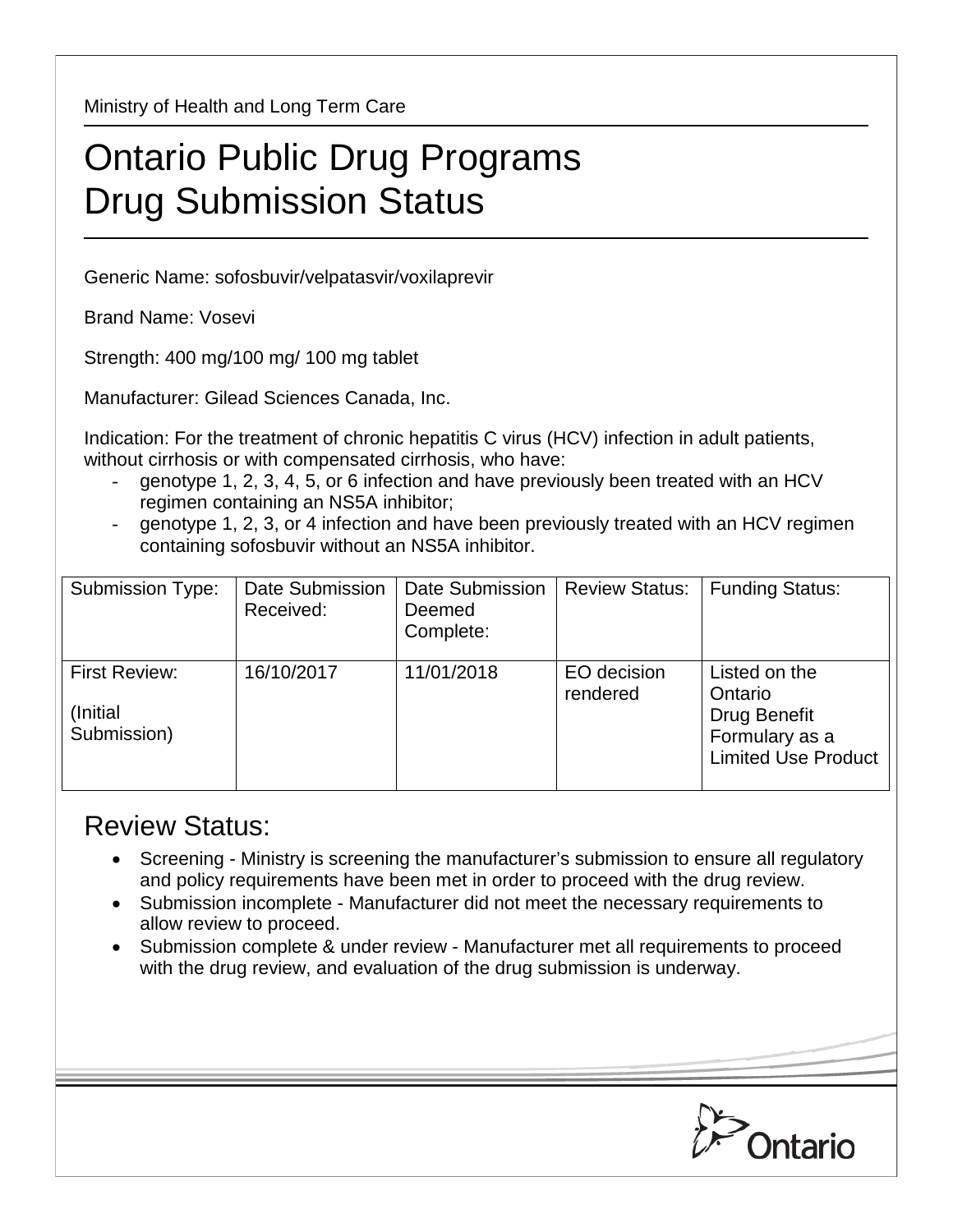Ministry of Health and Long Term Care

## Ontario Public Drug Programs Drug Submission Status

Generic Name: sofosbuvir/velpatasvir/voxilaprevir

Brand Name: Vosevi

Strength: 400 mg/100 mg/ 100 mg tablet

Manufacturer: Gilead Sciences Canada, Inc.

Indication: For the treatment of chronic hepatitis C virus (HCV) infection in adult patients, without cirrhosis or with compensated cirrhosis, who have:

- genotype 1, 2, 3, 4, 5, or 6 infection and have previously been treated with an HCV regimen containing an NS5A inhibitor;
- genotype 1, 2, 3, or 4 infection and have been previously treated with an HCV regimen containing sofosbuvir without an NS5A inhibitor.

| <b>Submission Type:</b>                          | <b>Date Submission</b><br>Received: | Date Submission<br>Deemed<br>Complete: | <b>Review Status:</b>   | <b>Funding Status:</b>                                                                          |
|--------------------------------------------------|-------------------------------------|----------------------------------------|-------------------------|-------------------------------------------------------------------------------------------------|
| <b>First Review:</b><br>(Initial)<br>Submission) | 16/10/2017                          | 11/01/2018                             | EO decision<br>rendered | Listed on the<br>Ontario<br><b>Drug Benefit</b><br>Formulary as a<br><b>Limited Use Product</b> |

## Review Status:

- Screening Ministry is screening the manufacturer's submission to ensure all regulatory and policy requirements have been met in order to proceed with the drug review.
- Submission incomplete Manufacturer did not meet the necessary requirements to allow review to proceed.
- Submission complete & under review Manufacturer met all requirements to proceed with the drug review, and evaluation of the drug submission is underway.